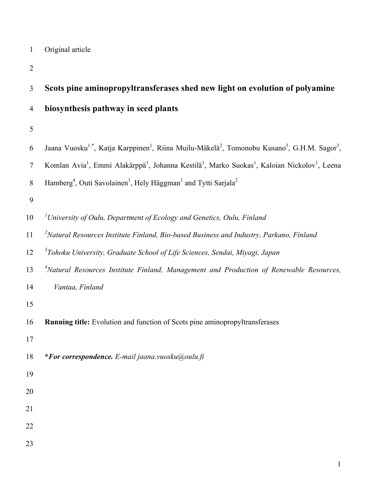Original article

| 3              | Scots pine aminopropyltransferases shed new light on evolution of polyamine                                                                               |  |  |  |
|----------------|-----------------------------------------------------------------------------------------------------------------------------------------------------------|--|--|--|
| $\overline{4}$ | biosynthesis pathway in seed plants                                                                                                                       |  |  |  |
| 5              |                                                                                                                                                           |  |  |  |
| 6              | Jaana Vuosku <sup>1,*</sup> , Katja Karppinen <sup>1</sup> , Riina Muilu-Mäkelä <sup>2</sup> , Tomonobu Kusano <sup>3</sup> , G.H.M. Sagor <sup>3</sup> , |  |  |  |
| $\tau$         | Komlan Avia <sup>1</sup> , Emmi Alakärppä <sup>1</sup> , Johanna Kestilä <sup>1</sup> , Marko Suokas <sup>1</sup> , Kaloian Nickolov <sup>1</sup> , Leena |  |  |  |
| $\, 8$         | Hamberg <sup>4</sup> , Outi Savolainen <sup>1</sup> , Hely Häggman <sup>1</sup> and Tytti Sarjala <sup>2</sup>                                            |  |  |  |
| 9              |                                                                                                                                                           |  |  |  |
| 10             | <sup>1</sup> University of Oulu, Department of Ecology and Genetics, Oulu, Finland                                                                        |  |  |  |
| 11             | $2$ Natural Resources Institute Finland, Bio-based Business and Industry, Parkano, Finland                                                                |  |  |  |
| 12             | <sup>3</sup> Tohoku University, Graduate School of Life Sciences, Sendai, Miyagi, Japan                                                                   |  |  |  |
| 13             | <sup>4</sup> Natural Resources Institute Finland, Management and Production of Renewable Resources,                                                       |  |  |  |
| 14             | Vantaa, Finland                                                                                                                                           |  |  |  |
| 15             |                                                                                                                                                           |  |  |  |
| 16             | Running title: Evolution and function of Scots pine aminopropyltransferases                                                                               |  |  |  |
| 17             |                                                                                                                                                           |  |  |  |
| 18             | *For correspondence. E-mail jaana.vuosku@oulu.fi                                                                                                          |  |  |  |
| 19             |                                                                                                                                                           |  |  |  |
| 20             |                                                                                                                                                           |  |  |  |
| 21             |                                                                                                                                                           |  |  |  |
| 22             |                                                                                                                                                           |  |  |  |
| 23             |                                                                                                                                                           |  |  |  |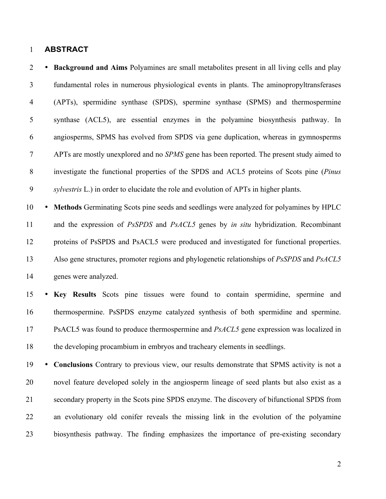## **ABSTRACT**

 • **Background and Aims** Polyamines are small metabolites present in all living cells and play fundamental roles in numerous physiological events in plants. The aminopropyltransferases (APTs), spermidine synthase (SPDS), spermine synthase (SPMS) and thermospermine synthase (ACL5), are essential enzymes in the polyamine biosynthesis pathway. In angiosperms, SPMS has evolved from SPDS via gene duplication, whereas in gymnosperms APTs are mostly unexplored and no *SPMS* gene has been reported. The present study aimed to investigate the functional properties of the SPDS and ACL5 proteins of Scots pine (*Pinus sylvestris* L.) in order to elucidate the role and evolution of APTs in higher plants.

 • **Methods** Germinating Scots pine seeds and seedlings were analyzed for polyamines by HPLC and the expression of *PsSPDS* and *PsACL5* genes by *in situ* hybridization. Recombinant proteins of PsSPDS and PsACL5 were produced and investigated for functional properties. Also gene structures, promoter regions and phylogenetic relationships of *PsSPDS* and *PsACL5* genes were analyzed.

 • **Key Results** Scots pine tissues were found to contain spermidine, spermine and thermospermine. PsSPDS enzyme catalyzed synthesis of both spermidine and spermine. PsACL5 was found to produce thermospermine and *PsACL5* gene expression was localized in the developing procambium in embryos and tracheary elements in seedlings.

 • **Conclusions** Contrary to previous view, our results demonstrate that SPMS activity is not a novel feature developed solely in the angiosperm lineage of seed plants but also exist as a secondary property in the Scots pine SPDS enzyme. The discovery of bifunctional SPDS from an evolutionary old conifer reveals the missing link in the evolution of the polyamine biosynthesis pathway. The finding emphasizes the importance of pre-existing secondary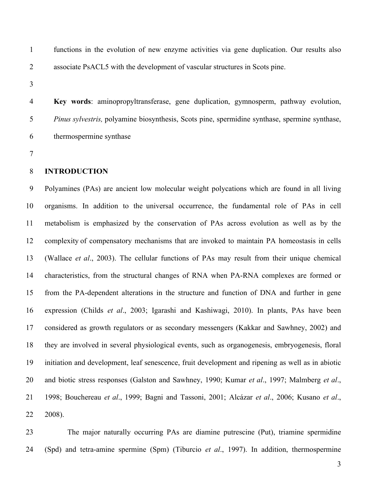functions in the evolution of new enzyme activities via gene duplication. Our results also associate PsACL5 with the development of vascular structures in Scots pine.

 **Key words**: aminopropyltransferase, gene duplication, gymnosperm, pathway evolution, *Pinus sylvestris,* polyamine biosynthesis, Scots pine, spermidine synthase, spermine synthase, thermospermine synthase

## **INTRODUCTION**

 Polyamines (PAs) are ancient low molecular weight polycations which are found in all living organisms. In addition to the universal occurrence, the fundamental role of PAs in cell metabolism is emphasized by the conservation of PAs across evolution as well as by the complexity of compensatory mechanisms that are invoked to maintain PA homeostasis in cells (Wallace *et al*., 2003). The cellular functions of PAs may result from their unique chemical characteristics, from the structural changes of RNA when PA-RNA complexes are formed or from the PA-dependent alterations in the structure and function of DNA and further in gene expression (Childs *et al*., 2003; Igarashi and Kashiwagi, 2010). In plants, PAs have been considered as growth regulators or as secondary messengers (Kakkar and Sawhney, 2002) and they are involved in several physiological events, such as organogenesis, embryogenesis, floral initiation and development, leaf senescence, fruit development and ripening as well as in abiotic and biotic stress responses (Galston and Sawhney, 1990; Kumar *et al*., 1997; Malmberg *et al*., 1998; Bouchereau *et al*., 1999; Bagni and Tassoni, 2001; Alcázar *et al*., 2006; Kusano *et al*., 2008).

 The major naturally occurring PAs are diamine putrescine (Put), triamine spermidine (Spd) and tetra-amine spermine (Spm) (Tiburcio *et al*., 1997). In addition, thermospermine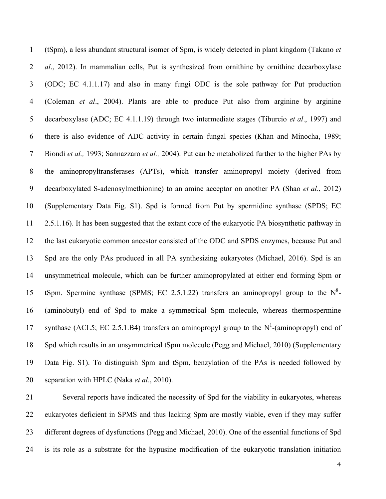(tSpm), a less abundant structural isomer of Spm, is widely detected in plant kingdom (Takano *et al*., 2012). In mammalian cells, Put is synthesized from ornithine by ornithine decarboxylase (ODC; EC 4.1.1.17) and also in many fungi ODC is the sole pathway for Put production (Coleman *et al*., 2004). Plants are able to produce Put also from arginine by arginine decarboxylase (ADC; EC 4.1.1.19) through two intermediate stages (Tiburcio *et al*., 1997) and there is also evidence of ADC activity in certain fungal species (Khan and Minocha, 1989; Biondi *et al.,* 1993; Sannazzaro *et al.,* 2004). Put can be metabolized further to the higher PAs by the aminopropyltransferases (APTs), which transfer aminopropyl moiety (derived from decarboxylated S-adenosylmethionine) to an amine acceptor on another PA (Shao *et al*., 2012) (Supplementary Data Fig. S1). Spd is formed from Put by spermidine synthase (SPDS; EC 2.5.1.16). It has been suggested that the extant core of the eukaryotic PA biosynthetic pathway in the last eukaryotic common ancestor consisted of the ODC and SPDS enzymes, because Put and Spd are the only PAs produced in all PA synthesizing eukaryotes (Michael, 2016). Spd is an unsymmetrical molecule, which can be further aminopropylated at either end forming Spm or 15 tSpm. Spermine synthase (SPMS; EC 2.5.1.22) transfers an aminopropyl group to the  $N^8$ - (aminobutyl) end of Spd to make a symmetrical Spm molecule, whereas thermospermine 17 synthase (ACL5; EC 2.5.1.B4) transfers an aminopropyl group to the  $N^1$ -(aminopropyl) end of Spd which results in an unsymmetrical tSpm molecule (Pegg and Michael, 2010) (Supplementary Data Fig. S1). To distinguish Spm and tSpm, benzylation of the PAs is needed followed by separation with HPLC (Naka *et al*., 2010).

 Several reports have indicated the necessity of Spd for the viability in eukaryotes, whereas eukaryotes deficient in SPMS and thus lacking Spm are mostly viable, even if they may suffer different degrees of dysfunctions (Pegg and Michael, 2010). One of the essential functions of Spd is its role as a substrate for the hypusine modification of the eukaryotic translation initiation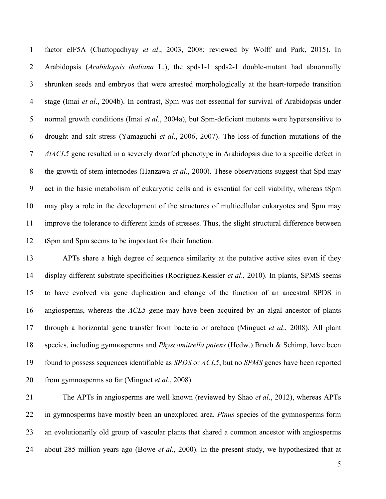factor eIF5A (Chattopadhyay *et al*., 2003, 2008; reviewed by Wolff and Park, 2015). In Arabidopsis (*Arabidopsis thaliana* L.), the spds1-1 spds2-1 double-mutant had abnormally shrunken seeds and embryos that were arrested morphologically at the heart-torpedo transition stage (Imai *et al*., 2004b). In contrast, Spm was not essential for survival of Arabidopsis under normal growth conditions (Imai *et al*., 2004a), but Spm-deficient mutants were hypersensitive to drought and salt stress (Yamaguchi *et al*., 2006, 2007). The loss-of-function mutations of the *AtACL5* gene resulted in a severely dwarfed phenotype in Arabidopsis due to a specific defect in the growth of stem internodes (Hanzawa *et al*., 2000). These observations suggest that Spd may act in the basic metabolism of eukaryotic cells and is essential for cell viability, whereas tSpm may play a role in the development of the structures of multicellular eukaryotes and Spm may improve the tolerance to different kinds of stresses. Thus, the slight structural difference between tSpm and Spm seems to be important for their function.

 APTs share a high degree of sequence similarity at the putative active sites even if they display different substrate specificities (Rodríguez-Kessler *et al*., 2010). In plants, SPMS seems to have evolved via gene duplication and change of the function of an ancestral SPDS in angiosperms, whereas the *ACL5* gene may have been acquired by an algal ancestor of plants through a horizontal gene transfer from bacteria or archaea (Minguet *et al*., 2008). All plant species, including gymnosperms and *Physcomitrella patens* (Hedw.) Bruch & Schimp, have been found to possess sequences identifiable as *SPDS* or *ACL5*, but no *SPMS* genes have been reported from gymnosperms so far (Minguet *et al*., 2008).

 The APTs in angiosperms are well known (reviewed by Shao *et al*., 2012), whereas APTs in gymnosperms have mostly been an unexplored area. *Pinus* species of the gymnosperms form an evolutionarily old group of vascular plants that shared a common ancestor with angiosperms about 285 million years ago (Bowe *et al*., 2000). In the present study, we hypothesized that at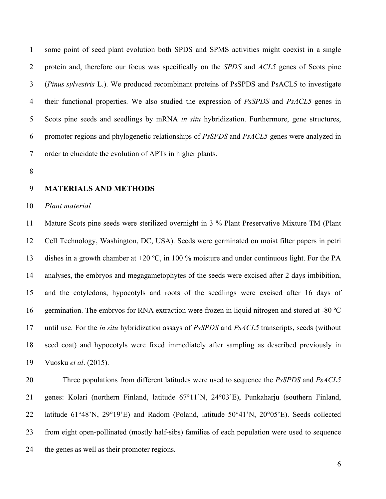some point of seed plant evolution both SPDS and SPMS activities might coexist in a single protein and, therefore our focus was specifically on the *SPDS* and *ACL5* genes of Scots pine (*Pinus sylvestris* L.). We produced recombinant proteins of PsSPDS and PsACL5 to investigate their functional properties. We also studied the expression of *PsSPDS* and *PsACL5* genes in Scots pine seeds and seedlings by mRNA *in situ* hybridization. Furthermore, gene structures, promoter regions and phylogenetic relationships of *PsSPDS* and *PsACL5* genes were analyzed in order to elucidate the evolution of APTs in higher plants.

### **MATERIALS AND METHODS**

### *Plant material*

 Mature Scots pine seeds were sterilized overnight in 3 % Plant Preservative Mixture TM (Plant Cell Technology, Washington, DC, USA). Seeds were germinated on moist filter papers in petri dishes in a growth chamber at +20 ºC, in 100 % moisture and under continuous light. For the PA analyses, the embryos and megagametophytes of the seeds were excised after 2 days imbibition, and the cotyledons, hypocotyls and roots of the seedlings were excised after 16 days of germination. The embryos for RNA extraction were frozen in liquid nitrogen and stored at -80 ºC until use. For the *in situ* hybridization assays of *PsSPDS* and *PsACL5* transcripts, seeds (without seed coat) and hypocotyls were fixed immediately after sampling as described previously in Vuosku *et al*. (2015).

 Three populations from different latitudes were used to sequence the *PsSPDS* and *PsACL5* genes: Kolari (northern Finland, latitude 67°11'N, 24°03'E), Punkaharju (southern Finland, latitude 61°48'N, 29°19'E) and Radom (Poland, latitude 50°41'N, 20°05'E). Seeds collected from eight open-pollinated (mostly half-sibs) families of each population were used to sequence the genes as well as their promoter regions.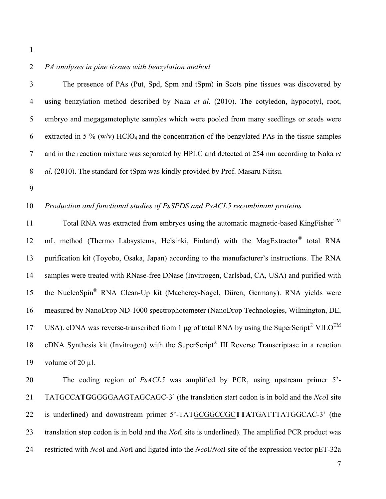- 
- 

## *PA analyses in pine tissues with benzylation method*

| 3             | The presence of PAs (Put, Spd, Spm and tSpm) in Scots pine tissues was discovered by                           |
|---------------|----------------------------------------------------------------------------------------------------------------|
| 4             | using benzylation method described by Naka et al. (2010). The cotyledon, hypocotyl, root,                      |
| $\rightarrow$ | embryo and megagametophyte samples which were pooled from many seedlings or seeds were                         |
| 6             | extracted in 5 % ( $w/v$ ) HClO <sub>4</sub> and the concentration of the benzylated PAs in the tissue samples |
|               | and in the reaction mixture was separated by HPLC and detected at 254 nm according to Naka et                  |
| 8             | al. (2010). The standard for tSpm was kindly provided by Prof. Masaru Niitsu.                                  |

## *Production and functional studies of PsSPDS and PsACL5 recombinant proteins*

Total RNA was extracted from embryos using the automatic magnetic-based KingFisher<sup>TM</sup> 12 mL method (Thermo Labsystems, Helsinki, Finland) with the MagExtractor<sup>®</sup> total RNA purification kit (Toyobo, Osaka, Japan) according to the manufacturer's instructions. The RNA samples were treated with RNase-free DNase (Invitrogen, Carlsbad, CA, USA) and purified with 15 the NucleoSpin<sup>®</sup> RNA Clean-Up kit (Macherey-Nagel, Düren, Germany). RNA yields were measured by NanoDrop ND-1000 spectrophotometer (NanoDrop Technologies, Wilmington, DE, USA). cDNA was reverse-transcribed from 1  $\mu$ g of total RNA by using the SuperScript<sup>®</sup> VILO<sup>TM</sup> 18 cDNA Synthesis kit (Invitrogen) with the SuperScript<sup>®</sup> III Reverse Transcriptase in a reaction 19 volume of 20 µl.

 The coding region of *PsACL5* was amplified by PCR, using upstream primer 5'- TATGCC**ATG**GGGGAAGTAGCAGC-3' (the translation start codon is in bold and the *Nco*I site is underlined) and downstream primer 5'-TATGCGGCCGC**TTA**TGATTTATGGCAC-3' (the translation stop codon is in bold and the *Not*I site is underlined). The amplified PCR product was restricted with *Nco*I and *Not*I and ligated into the *Nco*I/*Not*I site of the expression vector pET-32a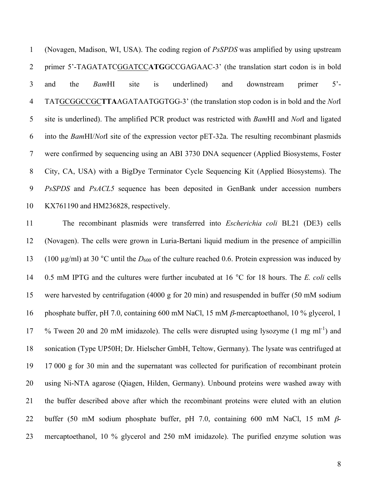(Novagen, Madison, WI, USA). The coding region of *PsSPDS* was amplified by using upstream primer 5'-TAGATATCGGATCC**ATG**GCCGAGAAC-3' (the translation start codon is in bold and the *Bam*HI site is underlined) and downstream primer 5'- TATGCGGCCGC**TTA**AGATAATGGTGG-3' (the translation stop codon is in bold and the *Not*I site is underlined). The amplified PCR product was restricted with *Bam*HI and *Not*I and ligated into the *Bam*HI/*Not*I site of the expression vector pET-32a. The resulting recombinant plasmids were confirmed by sequencing using an ABI 3730 DNA sequencer (Applied Biosystems, Foster City, CA, USA) with a BigDye Terminator Cycle Sequencing Kit (Applied Biosystems). The *PsSPDS* and *PsACL5* sequence has been deposited in GenBank under accession numbers KX761190 and HM236828, respectively.

 The recombinant plasmids were transferred into *Escherichia coli* BL21 (DE3) cells (Novagen). The cells were grown in Luria-Bertani liquid medium in the presence of ampicillin (100 µg/ml) at 30 °C until the *D*<sup>600</sup> of the culture reached 0.6. Protein expression was induced by 0.5 mM IPTG and the cultures were further incubated at 16 °C for 18 hours. The *E. coli* cells were harvested by centrifugation (4000 g for 20 min) and resuspended in buffer (50 mM sodium phosphate buffer, pH 7.0, containing 600 mM NaCl, 15 mM β-mercaptoethanol, 10 % glycerol, 1 17 % Tween 20 and 20 mM imidazole). The cells were disrupted using lysozyme  $(1 \text{ mg ml}^{-1})$  and sonication (Type UP50H; Dr. Hielscher GmbH, Teltow, Germany). The lysate was centrifuged at 17 000 g for 30 min and the supernatant was collected for purification of recombinant protein using Ni-NTA agarose (Qiagen, Hilden, Germany). Unbound proteins were washed away with the buffer described above after which the recombinant proteins were eluted with an elution buffer (50 mM sodium phosphate buffer, pH 7.0, containing 600 mM NaCl, 15 mM β-mercaptoethanol, 10 % glycerol and 250 mM imidazole). The purified enzyme solution was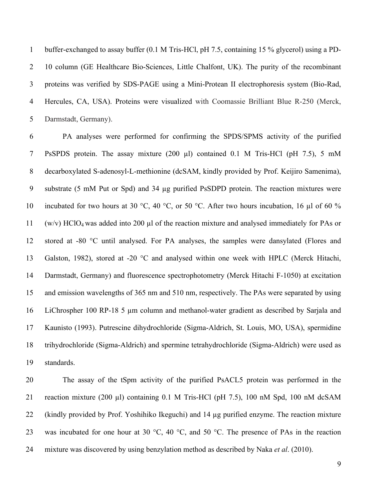buffer-exchanged to assay buffer (0.1 M Tris-HCl, pH 7.5, containing 15 % glycerol) using a PD- 10 column (GE Healthcare Bio-Sciences, Little Chalfont, UK). The purity of the recombinant proteins was verified by SDS-PAGE using a Mini-Protean II electrophoresis system (Bio-Rad, Hercules, CA, USA). Proteins were visualized with Coomassie Brilliant Blue R-250 (Merck, Darmstadt, Germany).

 PA analyses were performed for confirming the SPDS/SPMS activity of the purified PsSPDS protein. The assay mixture (200 µl) contained 0.1 M Tris-HCl (pH 7.5), 5 mM decarboxylated S-adenosyl-L-methionine (dcSAM, kindly provided by Prof. Keijiro Samenima), substrate (5 mM Put or Spd) and 34 µg purified PsSDPD protein. The reaction mixtures were 10 incubated for two hours at 30 °C, 40 °C, or 50 °C. After two hours incubation, 16  $\mu$ l of 60 % (w/v) HClO4 was added into 200 µl of the reaction mixture and analysed immediately for PAs or stored at -80 °C until analysed. For PA analyses, the samples were dansylated (Flores and Galston, 1982), stored at -20 °C and analysed within one week with HPLC (Merck Hitachi, Darmstadt, Germany) and fluorescence spectrophotometry (Merck Hitachi F-1050) at excitation and emission wavelengths of 365 nm and 510 nm, respectively. The PAs were separated by using LiChrospher 100 RP-18 5 µm column and methanol-water gradient as described by Sarjala and Kaunisto (1993). Putrescine dihydrochloride (Sigma-Aldrich, St. Louis, MO, USA), spermidine trihydrochloride (Sigma-Aldrich) and spermine tetrahydrochloride (Sigma-Aldrich) were used as standards.

 The assay of the tSpm activity of the purified PsACL5 protein was performed in the reaction mixture (200 µl) containing 0.1 M Tris-HCl (pH 7.5), 100 nM Spd, 100 nM dcSAM (kindly provided by Prof. Yoshihiko Ikeguchi) and 14 µg purified enzyme. The reaction mixture 23 was incubated for one hour at 30  $\degree$ C, 40  $\degree$ C, and 50  $\degree$ C. The presence of PAs in the reaction mixture was discovered by using benzylation method as described by Naka *et al*. (2010).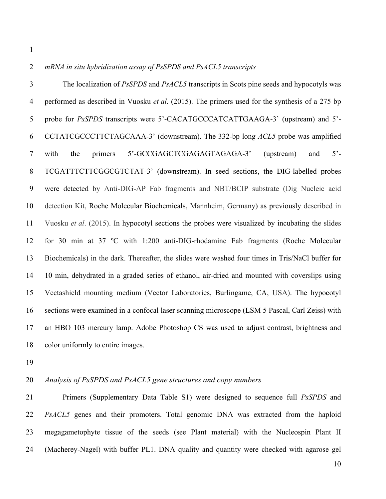#### *mRNA in situ hybridization assay of PsSPDS and PsACL5 transcripts*

 The localization of *PsSPDS* and *PsACL5* transcripts in Scots pine seeds and hypocotyls was performed as described in Vuosku *et al*. (2015). The primers used for the synthesis of a 275 bp probe for *PsSPDS* transcripts were 5'-CACATGCCCATCATTGAAGA-3' (upstream) and 5'- CCTATCGCCCTTCTAGCAAA-3' (downstream). The 332-bp long *ACL5* probe was amplified with the primers 5'-GCCGAGCTCGAGAGTAGAGA-3' (upstream) and 5'- TCGATTTCTTCGGCGTCTAT-3' (downstream). In seed sections, the DIG-labelled probes were detected by Anti-DIG-AP Fab fragments and NBT/BCIP substrate (Dig Nucleic acid detection Kit, Roche Molecular Biochemicals, Mannheim, Germany) as previously described in Vuosku *et al*. (2015). In hypocotyl sections the probes were visualized by incubating the slides for 30 min at 37 ºC with 1:200 anti-DIG-rhodamine Fab fragments (Roche Molecular Biochemicals) in the dark. Thereafter, the slides were washed four times in Tris/NaCl buffer for 10 min, dehydrated in a graded series of ethanol, air-dried and mounted with coverslips using Vectashield mounting medium (Vector Laboratories, Burlingame, CA, USA). The hypocotyl sections were examined in a confocal laser scanning microscope (LSM 5 Pascal, Carl Zeiss) with an HBO 103 mercury lamp. Adobe Photoshop CS was used to adjust contrast, brightness and color uniformly to entire images.

#### *Analysis of PsSPDS and PsACL5 gene structures and copy numbers*

 Primers (Supplementary Data Table S1) were designed to sequence full *PsSPDS* and *PsACL5* genes and their promoters. Total genomic DNA was extracted from the haploid megagametophyte tissue of the seeds (see Plant material) with the Nucleospin Plant II (Macherey-Nagel) with buffer PL1. DNA quality and quantity were checked with agarose gel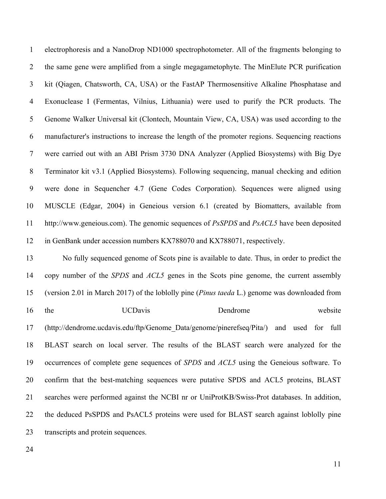electrophoresis and a NanoDrop ND1000 spectrophotometer. All of the fragments belonging to the same gene were amplified from a single megagametophyte. The MinElute PCR purification kit (Qiagen, Chatsworth, CA, USA) or the FastAP Thermosensitive Alkaline Phosphatase and Exonuclease I (Fermentas, Vilnius, Lithuania) were used to purify the PCR products. The Genome Walker Universal kit (Clontech, Mountain View, CA, USA) was used according to the manufacturer's instructions to increase the length of the promoter regions. Sequencing reactions were carried out with an ABI Prism 3730 DNA Analyzer (Applied Biosystems) with Big Dye Terminator kit v3.1 (Applied Biosystems). Following sequencing, manual checking and edition were done in Sequencher 4.7 (Gene Codes Corporation). Sequences were aligned using MUSCLE (Edgar, 2004) in Geneious version 6.1 (created by Biomatters, available from http://www.geneious.com). The genomic sequences of *PsSPDS* and *PsACL5* have been deposited in GenBank under accession numbers KX788070 and KX788071, respectively.

 No fully sequenced genome of Scots pine is available to date. Thus, in order to predict the copy number of the *SPDS* and *ACL5* genes in the Scots pine genome, the current assembly (version 2.01 in March 2017) of the loblolly pine (*Pinus taeda* L.) genome was downloaded from 16 the UCDavis Dendrome website (http://dendrome.ucdavis.edu/ftp/Genome\_Data/genome/pinerefseq/Pita/) and used for full BLAST search on local server. The results of the BLAST search were analyzed for the occurrences of complete gene sequences of *SPDS* and *ACL5* using the Geneious software. To confirm that the best-matching sequences were putative SPDS and ACL5 proteins, BLAST searches were performed against the NCBI nr or UniProtKB/Swiss-Prot databases. In addition, the deduced PsSPDS and PsACL5 proteins were used for BLAST search against loblolly pine transcripts and protein sequences.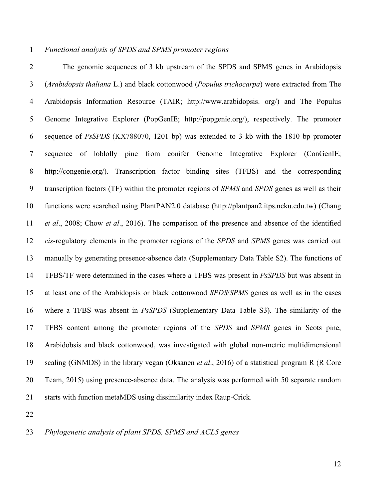## *Functional analysis of SPDS and SPMS promoter regions*

 The genomic sequences of 3 kb upstream of the SPDS and SPMS genes in Arabidopsis (*Arabidopsis thaliana* L.) and black cottonwood (*Populus trichocarpa*) were extracted from The Arabidopsis Information Resource (TAIR; http://www.arabidopsis. org/) and The Populus Genome Integrative Explorer (PopGenIE; http://popgenie.org/), respectively. The promoter sequence of *PsSPDS* (KX788070, 1201 bp) was extended to 3 kb with the 1810 bp promoter sequence of loblolly pine from conifer Genome Integrative Explorer (ConGenIE; http://congenie.org/). Transcription factor binding sites (TFBS) and the corresponding transcription factors (TF) within the promoter regions of *SPMS* and *SPDS* genes as well as their functions were searched using PlantPAN2.0 database (http://plantpan2.itps.ncku.edu.tw) (Chang *et al*., 2008; Chow *et al*., 2016). The comparison of the presence and absence of the identified *cis*-regulatory elements in the promoter regions of the *SPDS* and *SPMS* genes was carried out manually by generating presence-absence data (Supplementary Data Table S2). The functions of TFBS/TF were determined in the cases where a TFBS was present in *PsSPDS* but was absent in at least one of the Arabidopsis or black cottonwood *SPDS*/*SPMS* genes as well as in the cases where a TFBS was absent in *PsSPDS* (Supplementary Data Table S3). The similarity of the TFBS content among the promoter regions of the *SPDS* and *SPMS* genes in Scots pine, Arabidobsis and black cottonwood, was investigated with global non-metric multidimensional scaling (GNMDS) in the library vegan (Oksanen *et al*., 2016) of a statistical program R (R Core Team, 2015) using presence-absence data. The analysis was performed with 50 separate random starts with function metaMDS using dissimilarity index Raup-Crick.

*Phylogenetic analysis of plant SPDS, SPMS and ACL5 genes*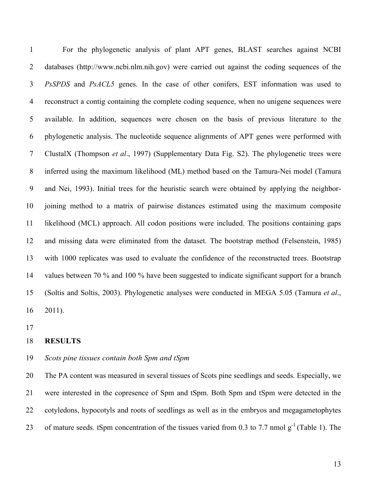For the phylogenetic analysis of plant APT genes, BLAST searches against NCBI 2 databases (http://www.ncbi.nlm.nih.gov) were carried out against the coding sequences of the *PsSPDS* and *PsACL5* genes. In the case of other conifers, EST information was used to reconstruct a contig containing the complete coding sequence, when no unigene sequences were available. In addition, sequences were chosen on the basis of previous literature to the phylogenetic analysis. The nucleotide sequence alignments of APT genes were performed with ClustalX (Thompson *et al*., 1997) (Supplementary Data Fig. S2). The phylogenetic trees were inferred using the maximum likelihood (ML) method based on the Tamura-Nei model (Tamura and Nei, 1993). Initial trees for the heuristic search were obtained by applying the neighbor- joining method to a matrix of pairwise distances estimated using the maximum composite likelihood (MCL) approach. All codon positions were included. The positions containing gaps and missing data were eliminated from the dataset. The bootstrap method (Felsenstein, 1985) with 1000 replicates was used to evaluate the confidence of the reconstructed trees. Bootstrap values between 70 % and 100 % have been suggested to indicate significant support for a branch (Soltis and Soltis, 2003). Phylogenetic analyses were conducted in MEGA 5.05 (Tamura *et al*., 2011).

#### **RESULTS**

#### *Scots pine tissues contain both Spm and tSpm*

 The PA content was measured in several tissues of Scots pine seedlings and seeds. Especially, we were interested in the copresence of Spm and tSpm. Both Spm and tSpm were detected in the cotyledons, hypocotyls and roots of seedlings as well as in the embryos and megagametophytes 23 of mature seeds. tSpm concentration of the tissues varied from 0.3 to 7.7 nmol  $g^{-1}$  (Table 1). The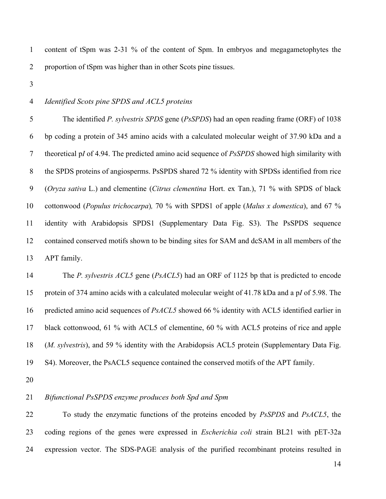content of tSpm was 2-31 % of the content of Spm. In embryos and megagametophytes the proportion of tSpm was higher than in other Scots pine tissues.

## *Identified Scots pine SPDS and ACL5 proteins*

 The identified *P. sylvestris SPDS* gene (*PsSPDS*) had an open reading frame (ORF) of 1038 bp coding a protein of 345 amino acids with a calculated molecular weight of 37.90 kDa and a theoretical p*I* of 4.94. The predicted amino acid sequence of *PsSPDS* showed high similarity with 8 the SPDS proteins of angiosperms. PsSPDS shared 72 % identity with SPDSs identified from rice (*Oryza sativa* L.) and clementine (*Citrus clementina* Hort. ex Tan.), 71 % with SPDS of black cottonwood (*Populus trichocarpa*)*,* 70 % with SPDS1 of apple (*Malus x domestica*), and 67 % identity with Arabidopsis SPDS1 (Supplementary Data Fig. S3). The PsSPDS sequence contained conserved motifs shown to be binding sites for SAM and dcSAM in all members of the APT family.

 The *P. sylvestris ACL5* gene (*PsACL5*) had an ORF of 1125 bp that is predicted to encode protein of 374 amino acids with a calculated molecular weight of 41.78 kDa and a p*I* of 5.98. The predicted amino acid sequences of *PsACL5* showed 66 % identity with ACL5 identified earlier in black cottonwood, 61 % with ACL5 of clementine, 60 % with ACL5 proteins of rice and apple (*M. sylvestris*), and 59 % identity with the Arabidopsis ACL5 protein (Supplementary Data Fig. S4). Moreover, the PsACL5 sequence contained the conserved motifs of the APT family.

## *Bifunctional PsSPDS enzyme produces both Spd and Spm*

 To study the enzymatic functions of the proteins encoded by *PsSPDS* and *PsACL5*, the coding regions of the genes were expressed in *Escherichia coli* strain BL21 with pET-32a expression vector. The SDS-PAGE analysis of the purified recombinant proteins resulted in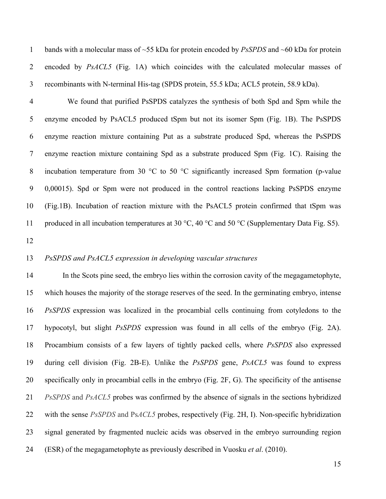bands with a molecular mass of ~55 kDa for protein encoded by *PsSPDS* and ~60 kDa for protein encoded by *PsACL5* (Fig. 1A) which coincides with the calculated molecular masses of recombinants with N-terminal His-tag (SPDS protein, 55.5 kDa; ACL5 protein, 58.9 kDa).

 We found that purified PsSPDS catalyzes the synthesis of both Spd and Spm while the enzyme encoded by PsACL5 produced tSpm but not its isomer Spm (Fig. 1B). The PsSPDS enzyme reaction mixture containing Put as a substrate produced Spd, whereas the PsSPDS enzyme reaction mixture containing Spd as a substrate produced Spm (Fig. 1C). Raising the 8 incubation temperature from 30 °C to 50 °C significantly increased Spm formation (p-value 0,00015). Spd or Spm were not produced in the control reactions lacking PsSPDS enzyme (Fig.1B). Incubation of reaction mixture with the PsACL5 protein confirmed that tSpm was 11 produced in all incubation temperatures at 30 °C, 40 °C and 50 °C (Supplementary Data Fig. S5).

## *PsSPDS and PsACL5 expression in developing vascular structures*

 In the Scots pine seed, the embryo lies within the corrosion cavity of the megagametophyte, which houses the majority of the storage reserves of the seed. In the germinating embryo, intense *PsSPDS* expression was localized in the procambial cells continuing from cotyledons to the hypocotyl, but slight *PsSPDS* expression was found in all cells of the embryo (Fig. 2A). Procambium consists of a few layers of tightly packed cells, where *PsSPDS* also expressed during cell division (Fig. 2B-E). Unlike the *PsSPDS* gene, *PsACL5* was found to express specifically only in procambial cells in the embryo (Fig. 2F, G). The specificity of the antisense *PsSPDS* and *PsACL5* probes was confirmed by the absence of signals in the sections hybridized with the sense *PsSPDS* and Ps*ACL5* probes, respectively (Fig. 2H, I). Non-specific hybridization signal generated by fragmented nucleic acids was observed in the embryo surrounding region (ESR) of the megagametophyte as previously described in Vuosku *et al*. (2010).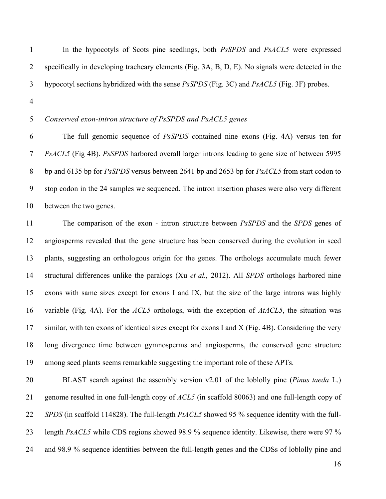In the hypocotyls of Scots pine seedlings, both *PsSPDS* and *PsACL5* were expressed specifically in developing tracheary elements (Fig. 3A, B, D, E). No signals were detected in the hypocotyl sections hybridized with the sense *PsSPDS* (Fig. 3C) and *PsACL5* (Fig. 3F) probes.

## *Conserved exon-intron structure of PsSPDS and PsACL5 genes*

 The full genomic sequence of *PsSPDS* contained nine exons (Fig. 4A) versus ten for *PsACL5* (Fig 4B). *PsSPDS* harbored overall larger introns leading to gene size of between 5995 bp and 6135 bp for *PsSPDS* versus between 2641 bp and 2653 bp for *PsACL5* from start codon to stop codon in the 24 samples we sequenced. The intron insertion phases were also very different between the two genes.

 The comparison of the exon - intron structure between *PsSPDS* and the *SPDS* genes of angiosperms revealed that the gene structure has been conserved during the evolution in seed plants, suggesting an orthologous origin for the genes. The orthologs accumulate much fewer structural differences unlike the paralogs (Xu *et al.,* 2012). All *SPDS* orthologs harbored nine exons with same sizes except for exons I and IX, but the size of the large introns was highly variable (Fig. 4A). For the *ACL5* orthologs, with the exception of *AtACL5*, the situation was similar, with ten exons of identical sizes except for exons I and X (Fig. 4B). Considering the very long divergence time between gymnosperms and angiosperms, the conserved gene structure among seed plants seems remarkable suggesting the important role of these APTs.

 BLAST search against the assembly version v2.01 of the loblolly pine (*Pinus taeda* L.) genome resulted in one full-length copy of *ACL5* (in scaffold 80063) and one full-length copy of *SPDS* (in scaffold 114828). The full-length *PtACL5* showed 95 % sequence identity with the full- length *PsACL5* while CDS regions showed 98.9 % sequence identity. Likewise, there were 97 % and 98.9 % sequence identities between the full-length genes and the CDSs of loblolly pine and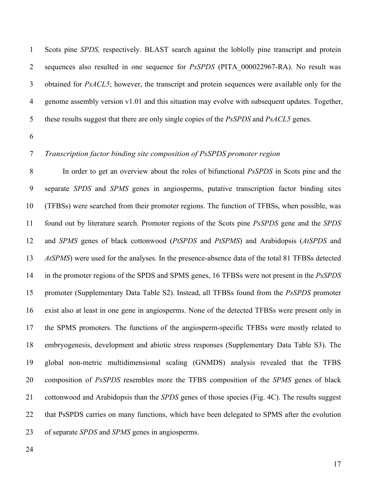Scots pine *SPDS,* respectively. BLAST search against the loblolly pine transcript and protein sequences also resulted in one sequence for *PsSPDS* (PITA\_000022967-RA). No result was obtained for *PsACL5*; however, the transcript and protein sequences were available only for the genome assembly version v1.01 and this situation may evolve with subsequent updates. Together, these results suggest that there are only single copies of the *PsSPDS* and *PsACL5* genes.

## *Transcription factor binding site composition of PsSPDS promoter region*

 In order to get an overview about the roles of bifunctional *PsSPDS* in Scots pine and the separate *SPDS* and *SPMS* genes in angiosperms, putative transcription factor binding sites (TFBSs) were searched from their promoter regions. The function of TFBSs, when possible, was found out by literature search. Promoter regions of the Scots pine *PsSPDS* gene and the *SPDS* and *SPMS* genes of black cottonwood (*PtSPDS* and *PtSPMS*) and Arabidopsis (*AtSPDS* and *AtSPMS*) were used for the analyses. In the presence-absence data of the total 81 TFBSs detected in the promoter regions of the SPDS and SPMS genes, 16 TFBSs were not present in the *PsSPDS* promoter (Supplementary Data Table S2). Instead, all TFBSs found from the *PsSPDS* promoter exist also at least in one gene in angiosperms. None of the detected TFBSs were present only in the SPMS promoters. The functions of the angiosperm-specific TFBSs were mostly related to embryogenesis, development and abiotic stress responses (Supplementary Data Table S3). The global non-metric multidimensional scaling (GNMDS) analysis revealed that the TFBS composition of *PsSPDS* resembles more the TFBS composition of the *SPMS* genes of black cottonwood and Arabidopsis than the *SPDS* genes of those species (Fig. 4C). The results suggest that PsSPDS carries on many functions, which have been delegated to SPMS after the evolution of separate *SPDS* and *SPMS* genes in angiosperms.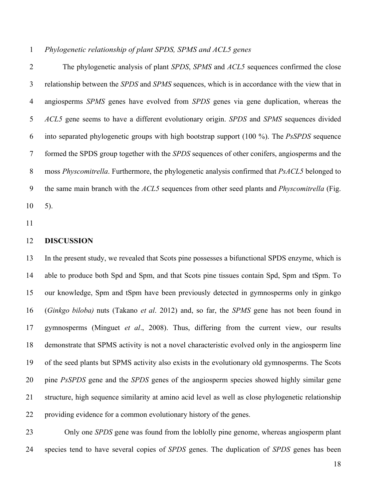*Phylogenetic relationship of plant SPDS, SPMS and ACL5 genes*

 The phylogenetic analysis of plant *SPDS*, *SPMS* and *ACL5* sequences confirmed the close relationship between the *SPDS* and *SPMS* sequences, which is in accordance with the view that in angiosperms *SPMS* genes have evolved from *SPDS* genes via gene duplication, whereas the *ACL5* gene seems to have a different evolutionary origin. *SPDS* and *SPMS* sequences divided into separated phylogenetic groups with high bootstrap support (100 %). The *PsSPDS* sequence formed the SPDS group together with the *SPDS* sequences of other conifers, angiosperms and the moss *Physcomitrella*. Furthermore, the phylogenetic analysis confirmed that *PsACL5* belonged to the same main branch with the *ACL5* sequences from other seed plants and *Physcomitrella* (Fig. 5).

#### **DISCUSSION**

 In the present study, we revealed that Scots pine possesses a bifunctional SPDS enzyme, which is able to produce both Spd and Spm, and that Scots pine tissues contain Spd, Spm and tSpm. To our knowledge, Spm and tSpm have been previously detected in gymnosperms only in ginkgo (*Ginkgo biloba)* nuts (Takano *et al*. 2012) and, so far, the *SPMS* gene has not been found in gymnosperms (Minguet *et al*., 2008). Thus, differing from the current view, our results demonstrate that SPMS activity is not a novel characteristic evolved only in the angiosperm line of the seed plants but SPMS activity also exists in the evolutionary old gymnosperms. The Scots pine *PsSPDS* gene and the *SPDS* genes of the angiosperm species showed highly similar gene structure, high sequence similarity at amino acid level as well as close phylogenetic relationship providing evidence for a common evolutionary history of the genes.

 Only one *SPDS* gene was found from the loblolly pine genome, whereas angiosperm plant species tend to have several copies of *SPDS* genes. The duplication of *SPDS* genes has been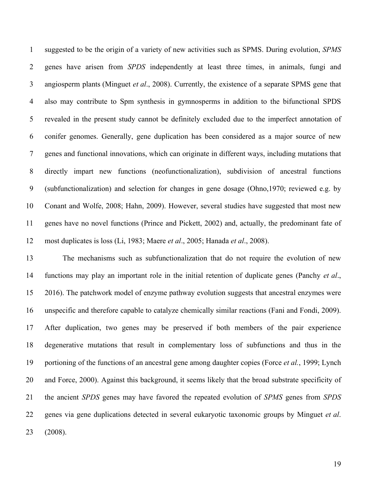suggested to be the origin of a variety of new activities such as SPMS. During evolution, *SPMS* genes have arisen from *SPDS* independently at least three times, in animals, fungi and angiosperm plants (Minguet *et al*., 2008). Currently, the existence of a separate SPMS gene that also may contribute to Spm synthesis in gymnosperms in addition to the bifunctional SPDS revealed in the present study cannot be definitely excluded due to the imperfect annotation of conifer genomes. Generally, gene duplication has been considered as a major source of new genes and functional innovations, which can originate in different ways, including mutations that directly impart new functions (neofunctionalization), subdivision of ancestral functions (subfunctionalization) and selection for changes in gene dosage (Ohno,1970; reviewed e.g. by Conant and Wolfe, 2008; Hahn, 2009). However, several studies have suggested that most new genes have no novel functions (Prince and Pickett, 2002) and, actually, the predominant fate of most duplicates is loss (Li, 1983; Maere *et al*., 2005; Hanada *et al*., 2008).

 The mechanisms such as subfunctionalization that do not require the evolution of new functions may play an important role in the initial retention of duplicate genes (Panchy *et al*., 2016). The patchwork model of enzyme pathway evolution suggests that ancestral enzymes were unspecific and therefore capable to catalyze chemically similar reactions (Fani and Fondi, 2009). After duplication, two genes may be preserved if both members of the pair experience degenerative mutations that result in complementary loss of subfunctions and thus in the portioning of the functions of an ancestral gene among daughter copies (Force *et al.*, 1999; Lynch and Force, 2000). Against this background, it seems likely that the broad substrate specificity of the ancient *SPDS* genes may have favored the repeated evolution of *SPMS* genes from *SPDS* genes via gene duplications detected in several eukaryotic taxonomic groups by Minguet *et al*. (2008).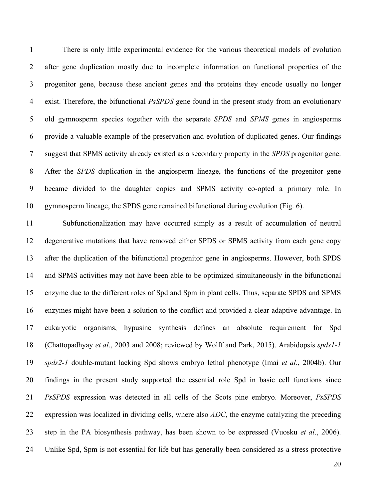There is only little experimental evidence for the various theoretical models of evolution after gene duplication mostly due to incomplete information on functional properties of the progenitor gene, because these ancient genes and the proteins they encode usually no longer exist. Therefore, the bifunctional *PsSPDS* gene found in the present study from an evolutionary old gymnosperm species together with the separate *SPDS* and *SPMS* genes in angiosperms provide a valuable example of the preservation and evolution of duplicated genes. Our findings suggest that SPMS activity already existed as a secondary property in the *SPDS* progenitor gene. After the *SPDS* duplication in the angiosperm lineage, the functions of the progenitor gene became divided to the daughter copies and SPMS activity co-opted a primary role. In gymnosperm lineage, the SPDS gene remained bifunctional during evolution (Fig. 6).

 Subfunctionalization may have occurred simply as a result of accumulation of neutral degenerative mutations that have removed either SPDS or SPMS activity from each gene copy after the duplication of the bifunctional progenitor gene in angiosperms. However, both SPDS and SPMS activities may not have been able to be optimized simultaneously in the bifunctional enzyme due to the different roles of Spd and Spm in plant cells. Thus, separate SPDS and SPMS enzymes might have been a solution to the conflict and provided a clear adaptive advantage. In eukaryotic organisms, hypusine synthesis defines an absolute requirement for Spd (Chattopadhyay *et al*., 2003 and 2008; reviewed by Wolff and Park, 2015). Arabidopsis *spds1-1 spds2-1* double-mutant lacking Spd shows embryo lethal phenotype (Imai *et al*., 2004b). Our findings in the present study supported the essential role Spd in basic cell functions since *PsSPDS* expression was detected in all cells of the Scots pine embryo. Moreover, *PsSPDS* expression was localized in dividing cells, where also *ADC*, the enzyme catalyzing the preceding step in the PA biosynthesis pathway, has been shown to be expressed (Vuosku *et al*., 2006). Unlike Spd, Spm is not essential for life but has generally been considered as a stress protective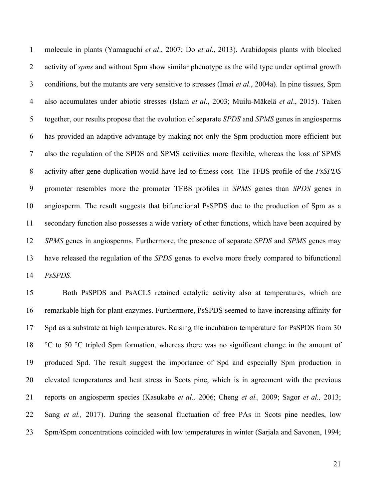molecule in plants (Yamaguchi *et al*., 2007; Do *et al*., 2013). Arabidopsis plants with blocked activity of *spms* and without Spm show similar phenotype as the wild type under optimal growth conditions, but the mutants are very sensitive to stresses (Imai *et al*., 2004a). In pine tissues, Spm also accumulates under abiotic stresses (Islam *et al*., 2003; Muilu-Mäkelä *et al*., 2015). Taken together, our results propose that the evolution of separate *SPDS* and *SPMS* genes in angiosperms has provided an adaptive advantage by making not only the Spm production more efficient but also the regulation of the SPDS and SPMS activities more flexible, whereas the loss of SPMS activity after gene duplication would have led to fitness cost. The TFBS profile of the *PsSPDS* promoter resembles more the promoter TFBS profiles in *SPMS* genes than *SPDS* genes in angiosperm. The result suggests that bifunctional PsSPDS due to the production of Spm as a secondary function also possesses a wide variety of other functions, which have been acquired by *SPMS* genes in angiosperms. Furthermore, the presence of separate *SPDS* and *SPMS* genes may have released the regulation of the *SPDS* genes to evolve more freely compared to bifunctional *PsSPDS*.

 Both PsSPDS and PsACL5 retained catalytic activity also at temperatures, which are remarkable high for plant enzymes. Furthermore, PsSPDS seemed to have increasing affinity for Spd as a substrate at high temperatures. Raising the incubation temperature for PsSPDS from 30 °C to 50 °C tripled Spm formation, whereas there was no significant change in the amount of produced Spd. The result suggest the importance of Spd and especially Spm production in elevated temperatures and heat stress in Scots pine, which is in agreement with the previous reports on angiosperm species (Kasukabe *et al.,* 2006; Cheng *et al.,* 2009; Sagor *et al.,* 2013; Sang *et al.,* 2017). During the seasonal fluctuation of free PAs in Scots pine needles, low Spm/tSpm concentrations coincided with low temperatures in winter (Sarjala and Savonen, 1994;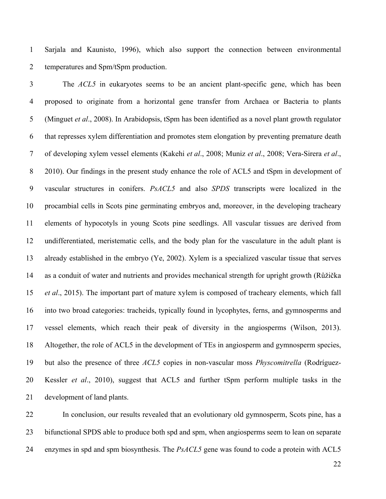Sarjala and Kaunisto, 1996), which also support the connection between environmental temperatures and Spm/tSpm production.

 The *ACL5* in eukaryotes seems to be an ancient plant-specific gene, which has been proposed to originate from a horizontal gene transfer from Archaea or Bacteria to plants (Minguet *et al*., 2008). In Arabidopsis, tSpm has been identified as a novel plant growth regulator that represses xylem differentiation and promotes stem elongation by preventing premature death of developing xylem vessel elements (Kakehi *et al*., 2008; Muniz *et al*., 2008; Vera-Sirera *et al*., 8 2010). Our findings in the present study enhance the role of ACL5 and tSpm in development of vascular structures in conifers. *PsACL5* and also *SPDS* transcripts were localized in the procambial cells in Scots pine germinating embryos and, moreover, in the developing tracheary elements of hypocotyls in young Scots pine seedlings. All vascular tissues are derived from undifferentiated, meristematic cells, and the body plan for the vasculature in the adult plant is already established in the embryo (Ye, 2002). Xylem is a specialized vascular tissue that serves as a conduit of water and nutrients and provides mechanical strength for upright growth (Růžička *et al*., 2015). The important part of mature xylem is composed of tracheary elements, which fall into two broad categories: tracheids, typically found in lycophytes, ferns, and gymnosperms and vessel elements, which reach their peak of diversity in the angiosperms (Wilson, 2013). Altogether, the role of ACL5 in the development of TEs in angiosperm and gymnosperm species, but also the presence of three *ACL5* copies in non-vascular moss *Physcomitrella* (Rodríguez- Kessler *et al*., 2010), suggest that ACL5 and further tSpm perform multiple tasks in the development of land plants.

 In conclusion, our results revealed that an evolutionary old gymnosperm, Scots pine, has a bifunctional SPDS able to produce both spd and spm, when angiosperms seem to lean on separate enzymes in spd and spm biosynthesis. The *PsACL5* gene was found to code a protein with ACL5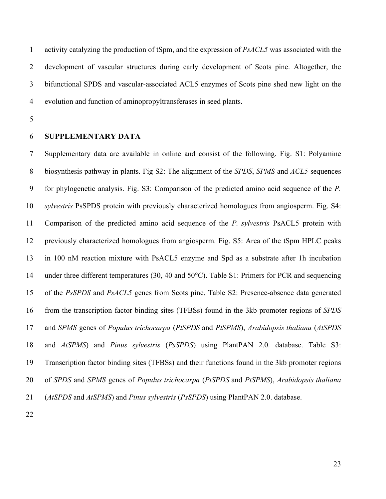activity catalyzing the production of tSpm, and the expression of *PsACL5* was associated with the development of vascular structures during early development of Scots pine. Altogether, the bifunctional SPDS and vascular-associated ACL5 enzymes of Scots pine shed new light on the evolution and function of aminopropyltransferases in seed plants.

## **SUPPLEMENTARY DATA**

 Supplementary data are available in online and consist of the following. Fig. S1: Polyamine biosynthesis pathway in plants. Fig S2: The alignment of the *SPDS*, *SPMS* and *ACL5* sequences for phylogenetic analysis. Fig. S3: Comparison of the predicted amino acid sequence of the *P. sylvestris* PsSPDS protein with previously characterized homologues from angiosperm. Fig. S4: Comparison of the predicted amino acid sequence of the *P. sylvestris* PsACL5 protein with previously characterized homologues from angiosperm. Fig. S5: Area of the tSpm HPLC peaks in 100 nM reaction mixture with PsACL5 enzyme and Spd as a substrate after 1h incubation under three different temperatures (30, 40 and 50°C). Table S1: Primers for PCR and sequencing of the *PsSPDS* and *PsACL5* genes from Scots pine. Table S2: Presence-absence data generated from the transcription factor binding sites (TFBSs) found in the 3kb promoter regions of *SPDS* and *SPMS* genes of *Populus trichocarpa* (*PtSPDS* and *PtSPMS*), *Arabidopsis thaliana* (*AtSPDS* and *AtSPMS*) and *Pinus sylvestris* (*PsSPDS*) using PlantPAN 2.0. database. Table S3: Transcription factor binding sites (TFBSs) and their functions found in the 3kb promoter regions of *SPDS* and *SPMS* genes of *Populus trichocarpa* (*PtSPDS* and *PtSPMS*), *Arabidopsis thaliana* (*AtSPDS* and *AtSPMS*) and *Pinus sylvestris* (*PsSPDS*) using PlantPAN 2.0. database.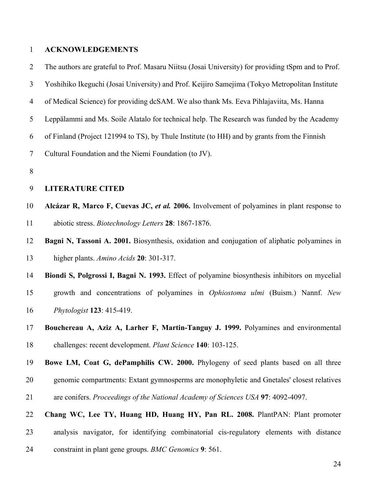### **ACKNOWLEDGEMENTS**

The authors are grateful to Prof. Masaru Niitsu (Josai University) for providing tSpm and to Prof.

- Yoshihiko Ikeguchi (Josai University) and Prof. Keijiro Samejima (Tokyo Metropolitan Institute
- of Medical Science) for providing dcSAM. We also thank Ms. Eeva Pihlajaviita, Ms. Hanna
- Leppälammi and Ms. Soile Alatalo for technical help. The Research was funded by the Academy
- of Finland (Project 121994 to TS), by Thule Institute (to HH) and by grants from the Finnish

Cultural Foundation and the Niemi Foundation (to JV).

## **LITERATURE CITED**

- **Alcázar R, Marco F, Cuevas JC,** *et al.* **2006.** Involvement of polyamines in plant response to abiotic stress. *Biotechnology Letters* **28**: 1867-1876.
- **Bagni N, Tassoni A. 2001.** Biosynthesis, oxidation and conjugation of aliphatic polyamines in higher plants. *Amino Acids* **20**: 301-317.

 **Biondi S, Polgrossi I, Bagni N. 1993.** Effect of polyamine biosynthesis inhibitors on mycelial growth and concentrations of polyamines in *Ophiostoma ulmi* (Buism.) Nannf. *New Phytologist* **123**: 415-419.

 **Bouchereau A, Aziz A, Larher F, Martin-Tanguy J. 1999.** Polyamines and environmental challenges: recent development. *Plant Science* **140**: 103-125.

 **Bowe LM, Coat G, dePamphilis CW. 2000.** Phylogeny of seed plants based on all three genomic compartments: Extant gymnosperms are monophyletic and Gnetales' closest relatives are conifers. *Proceedings of the National Academy of Sciences USA* **97**: 4092-4097.

 **Chang WC, Lee TY, Huang HD, Huang HY, Pan RL. 2008.** PlantPAN: Plant promoter analysis navigator, for identifying combinatorial cis-regulatory elements with distance constraint in plant gene groups. *BMC Genomics* **9**: 561.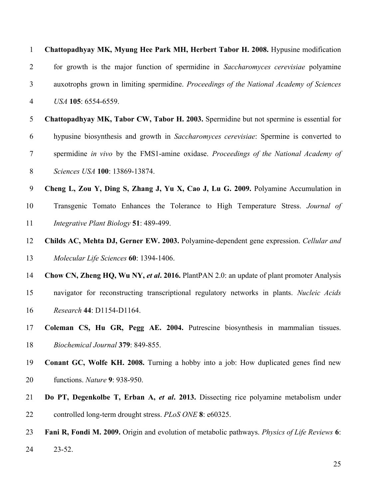| $\mathbf{1}$   | Chattopadhyay MK, Myung Hee Park MH, Herbert Tabor H. 2008. Hypusine modification             |
|----------------|-----------------------------------------------------------------------------------------------|
| $\overline{2}$ | for growth is the major function of spermidine in Saccharomyces cerevisiae polyamine          |
| 3              | auxotrophs grown in limiting spermidine. Proceedings of the National Academy of Sciences      |
| $\overline{4}$ | USA 105: 6554-6559.                                                                           |
| 5              | Chattopadhyay MK, Tabor CW, Tabor H. 2003. Spermidine but not spermine is essential for       |
| 6              | hypusine biosynthesis and growth in Saccharomyces cerevisiae: Spermine is converted to        |
| $\tau$         | spermidine in vivo by the FMS1-amine oxidase. Proceedings of the National Academy of          |
| $8\,$          | Sciences USA 100: 13869-13874.                                                                |
| 9              | Cheng L, Zou Y, Ding S, Zhang J, Yu X, Cao J, Lu G. 2009. Polyamine Accumulation in           |
| 10             | Transgenic Tomato Enhances the Tolerance to High Temperature Stress. Journal of               |
| 11             | Integrative Plant Biology 51: 489-499.                                                        |
| 12             | Childs AC, Mehta DJ, Gerner EW. 2003. Polyamine-dependent gene expression. Cellular and       |
| 13             | Molecular Life Sciences 60: 1394-1406.                                                        |
| 14             | Chow CN, Zheng HQ, Wu NY, et al. 2016. PlantPAN 2.0: an update of plant promoter Analysis     |
| 15             | navigator for reconstructing transcriptional regulatory networks in plants. Nucleic Acids     |
| 16             | Research 44: D1154-D1164.                                                                     |
| 17             | Coleman CS, Hu GR, Pegg AE. 2004. Putrescine biosynthesis in mammalian tissues.               |
| 18             | Biochemical Journal 379: 849-855.                                                             |
| 19             | <b>Conant GC, Wolfe KH. 2008.</b> Turning a hobby into a job: How duplicated genes find new   |
| 20             | functions. Nature 9: 938-950.                                                                 |
| 21             | Do PT, Degenkolbe T, Erban A, et al. 2013. Dissecting rice polyamine metabolism under         |
| 22             | controlled long-term drought stress. PLoS ONE 8: e60325.                                      |
| 23             | Fani R, Fondi M. 2009. Origin and evolution of metabolic pathways. Physics of Life Reviews 6: |
| 24             | $23 - 52$ .                                                                                   |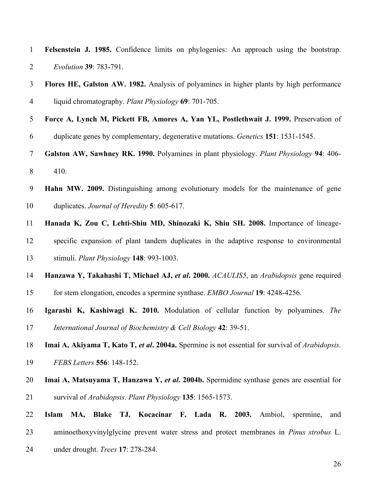| $\mathbf{1}$   | Felsenstein J. 1985. Confidence limits on phylogenies: An approach using the bootstrap.         |  |  |  |  |  |  |
|----------------|-------------------------------------------------------------------------------------------------|--|--|--|--|--|--|
| $\overline{2}$ | Evolution 39: 783-791.                                                                          |  |  |  |  |  |  |
| $\mathfrak{Z}$ | Flores HE, Galston AW. 1982. Analysis of polyamines in higher plants by high performance        |  |  |  |  |  |  |
| $\overline{4}$ | liquid chromatography. Plant Physiology 69: 701-705.                                            |  |  |  |  |  |  |
| 5              | Force A, Lynch M, Pickett FB, Amores A, Yan YL, Postlethwait J. 1999. Preservation of           |  |  |  |  |  |  |
| 6              | duplicate genes by complementary, degenerative mutations. Genetics 151: 1531-1545.              |  |  |  |  |  |  |
| $\overline{7}$ | Galston AW, Sawhney RK. 1990. Polyamines in plant physiology. Plant Physiology 94: 406-         |  |  |  |  |  |  |
| 8              | 410.                                                                                            |  |  |  |  |  |  |
| 9              | Hahn MW. 2009. Distinguishing among evolutionary models for the maintenance of gene             |  |  |  |  |  |  |
| 10             | duplicates. Journal of Heredity 5: 605-617.                                                     |  |  |  |  |  |  |
| 11             | Hanada K, Zou C, Lehti-Shiu MD, Shinozaki K, Shiu SH. 2008. Importance of lineage-              |  |  |  |  |  |  |
| 12             | specific expansion of plant tandem duplicates in the adaptive response to environmental         |  |  |  |  |  |  |
| 13             | stimuli. Plant Physiology 148: 993-1003.                                                        |  |  |  |  |  |  |
| 14             | Hanzawa Y, Takahashi T, Michael AJ, et al. 2000. ACAULIS5, an Arabidopsis gene required         |  |  |  |  |  |  |
| 15             | for stem elongation, encodes a spermine synthase. EMBO Journal 19: 4248-4256.                   |  |  |  |  |  |  |
| 16             | Igarashi K, Kashiwagi K. 2010. Modulation of cellular function by polyamines. The               |  |  |  |  |  |  |
| 17             | International Journal of Biochemistry & Cell Biology 42: 39-51.                                 |  |  |  |  |  |  |
| 18             | Imai A, Akiyama T, Kato T, et al. 2004a. Spermine is not essential for survival of Arabidopsis. |  |  |  |  |  |  |
| 19             | FEBS Letters 556: 148-152.                                                                      |  |  |  |  |  |  |
| 20             | Imai A, Matsuyama T, Hanzawa Y, et al. 2004b. Spermidine synthase genes are essential for       |  |  |  |  |  |  |
| 21             | survival of Arabidopsis. Plant Physiology 135: 1565-1573.                                       |  |  |  |  |  |  |
| 22             | Blake TJ, Kocacinar F, Lada R. 2003. Ambiol,<br>Islam<br>MA,<br>spermine,<br>and                |  |  |  |  |  |  |
| 23             | aminoethoxyvinylglycine prevent water stress and protect membranes in <i>Pinus strobus</i> L.   |  |  |  |  |  |  |
| 24             | under drought. Trees 17: 278-284.                                                               |  |  |  |  |  |  |
|                | 26                                                                                              |  |  |  |  |  |  |
|                |                                                                                                 |  |  |  |  |  |  |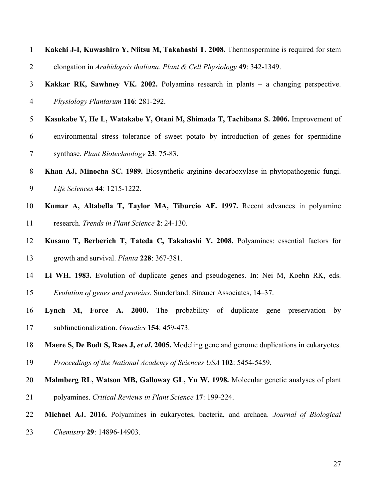| $\mathbf{1}$   | Kakehi J-I, Kuwashiro Y, Niitsu M, Takahashi T. 2008. Thermospermine is required for stem     |  |  |  |  |  |
|----------------|-----------------------------------------------------------------------------------------------|--|--|--|--|--|
| $\overline{2}$ | elongation in Arabidopsis thaliana. Plant & Cell Physiology 49: 342-1349.                     |  |  |  |  |  |
| 3              | Kakkar RK, Sawhney VK. 2002. Polyamine research in plants $-$ a changing perspective.         |  |  |  |  |  |
| 4              | Physiology Plantarum 116: 281-292.                                                            |  |  |  |  |  |
| 5              | Kasukabe Y, He L, Watakabe Y, Otani M, Shimada T, Tachibana S. 2006. Improvement of           |  |  |  |  |  |
| 6              | environmental stress tolerance of sweet potato by introduction of genes for spermidine        |  |  |  |  |  |
| 7              | synthase. Plant Biotechnology 23: 75-83.                                                      |  |  |  |  |  |
| 8              | Khan AJ, Minocha SC. 1989. Biosynthetic arginine decarboxylase in phytopathogenic fungi.      |  |  |  |  |  |
| 9              | Life Sciences 44: 1215-1222.                                                                  |  |  |  |  |  |
| 10             | Kumar A, Altabella T, Taylor MA, Tiburcio AF. 1997. Recent advances in polyamine              |  |  |  |  |  |
| 11             | research. Trends in Plant Science 2: 24-130.                                                  |  |  |  |  |  |
| 12             | Kusano T, Berberich T, Tateda C, Takahashi Y. 2008. Polyamines: essential factors for         |  |  |  |  |  |
| 13             | growth and survival. Planta 228: 367-381.                                                     |  |  |  |  |  |
| 14             | Li WH. 1983. Evolution of duplicate genes and pseudogenes. In: Nei M, Koehn RK, eds.          |  |  |  |  |  |
| 15             | Evolution of genes and proteins. Sunderland: Sinauer Associates, 14-37.                       |  |  |  |  |  |
| 16             | Lynch M, Force A. 2000. The probability of duplicate gene preservation<br>by                  |  |  |  |  |  |
| 17             | subfunctionalization. Genetics 154: 459-473.                                                  |  |  |  |  |  |
| 18             | Maere S, De Bodt S, Raes J, et al. 2005. Modeling gene and genome duplications in eukaryotes. |  |  |  |  |  |
| 19             | Proceedings of the National Academy of Sciences USA 102: 5454-5459.                           |  |  |  |  |  |
| 20             | Malmberg RL, Watson MB, Galloway GL, Yu W. 1998. Molecular genetic analyses of plant          |  |  |  |  |  |
| 21             | polyamines. Critical Reviews in Plant Science 17: 199-224.                                    |  |  |  |  |  |
| 22             | Michael AJ. 2016. Polyamines in eukaryotes, bacteria, and archaea. Journal of Biological      |  |  |  |  |  |
| 23             | Chemistry 29: 14896-14903.                                                                    |  |  |  |  |  |
|                |                                                                                               |  |  |  |  |  |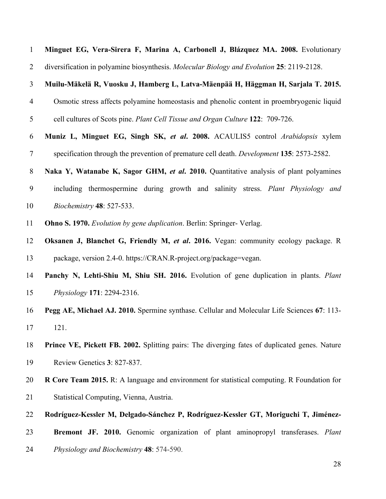| $\mathbf{1}$     | Minguet EG, Vera-Sirera F, Marina A, Carbonell J, Blázquez MA. 2008. Evolutionary                  |  |  |  |  |  |  |
|------------------|----------------------------------------------------------------------------------------------------|--|--|--|--|--|--|
| $\overline{2}$   | diversification in polyamine biosynthesis. Molecular Biology and Evolution 25: 2119-2128.          |  |  |  |  |  |  |
| $\mathfrak{Z}$   | Muilu-Mäkelä R, Vuosku J, Hamberg L, Latva-Mäenpää H, Häggman H, Sarjala T. 2015.                  |  |  |  |  |  |  |
| $\overline{4}$   | Osmotic stress affects polyamine homeostasis and phenolic content in proembryogenic liquid         |  |  |  |  |  |  |
| 5                | cell cultures of Scots pine. Plant Cell Tissue and Organ Culture 122: 709-726.                     |  |  |  |  |  |  |
| 6                | Muniz L, Minguet EG, Singh SK, et al. 2008. ACAULIS5 control Arabidopsis xylem                     |  |  |  |  |  |  |
| $\overline{7}$   | specification through the prevention of premature cell death. <i>Development</i> 135: 2573-2582.   |  |  |  |  |  |  |
| 8                | Naka Y, Watanabe K, Sagor GHM, et al. 2010. Quantitative analysis of plant polyamines              |  |  |  |  |  |  |
| $\boldsymbol{9}$ | including thermospermine during growth and salinity stress. Plant Physiology and                   |  |  |  |  |  |  |
| 10               | Biochemistry 48: 527-533.                                                                          |  |  |  |  |  |  |
| 11               | <b>Ohno S. 1970.</b> Evolution by gene duplication. Berlin: Springer- Verlag.                      |  |  |  |  |  |  |
| 12               | Oksanen J, Blanchet G, Friendly M, et al. 2016. Vegan: community ecology package. R                |  |  |  |  |  |  |
| 13               | package, version 2.4-0. https://CRAN.R-project.org/package=vegan.                                  |  |  |  |  |  |  |
| 14               | Panchy N, Lehti-Shiu M, Shiu SH. 2016. Evolution of gene duplication in plants. Plant              |  |  |  |  |  |  |
| 15               | Physiology 171: 2294-2316.                                                                         |  |  |  |  |  |  |
| 16               | Pegg AE, Michael AJ. 2010. Spermine synthase. Cellular and Molecular Life Sciences 67: 113-        |  |  |  |  |  |  |
| 17               | 121.                                                                                               |  |  |  |  |  |  |
| 18               | Prince VE, Pickett FB. 2002. Splitting pairs: The diverging fates of duplicated genes. Nature      |  |  |  |  |  |  |
| 19               | Review Genetics 3: 827-837.                                                                        |  |  |  |  |  |  |
| 20               | <b>R Core Team 2015.</b> R: A language and environment for statistical computing. R Foundation for |  |  |  |  |  |  |
| 21               | Statistical Computing, Vienna, Austria.                                                            |  |  |  |  |  |  |
| 22               | Rodríguez-Kessler M, Delgado-Sánchez P, Rodríguez-Kessler GT, Moriguchi T, Jiménez-                |  |  |  |  |  |  |
| 23               | Bremont JF. 2010. Genomic organization of plant aminopropyl transferases. Plant                    |  |  |  |  |  |  |
| 24               | Physiology and Biochemistry 48: 574-590.                                                           |  |  |  |  |  |  |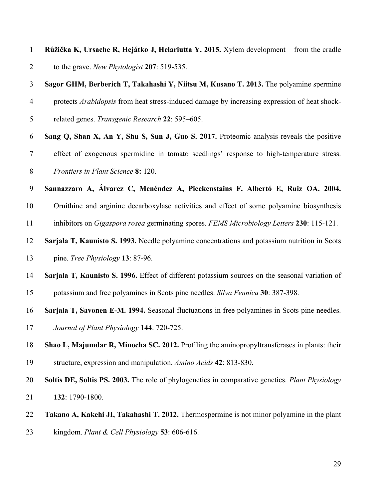| $\overline{1}$ | Růžička K, Ursache R, Hejátko J, Helariutta Y. 2015. Xylem development – from the cradle     |
|----------------|----------------------------------------------------------------------------------------------|
| 2              | to the grave. New Phytologist 207: 519-535.                                                  |
| 3              | Sagor GHM, Berberich T, Takahashi Y, Niitsu M, Kusano T. 2013. The polyamine spermine        |
| $\overline{4}$ | protects Arabidopsis from heat stress-induced damage by increasing expression of heat shock- |

- related genes. *Transgenic Research* **22**: 595–605.
- **Sang Q, Shan X, An Y, Shu S, Sun J, Guo S. 2017.** Proteomic analysis reveals the positive effect of exogenous spermidine in tomato seedlings' response to high-temperature stress. *Frontiers in Plant Science* **8:** 120.

**Sannazzaro A, Álvarez C, Menéndez A, Pieckenstains F, Albertó E, Ruiz OA. 2004.**

 Ornithine and arginine decarboxylase activities and effect of some polyamine biosynthesis inhibitors on *Gigaspora rosea* germinating spores. *FEMS Microbiology Letters* **230**: 115-121.

- **Sarjala T, Kaunisto S. 1993.** Needle polyamine concentrations and potassium nutrition in Scots
- pine. *Tree Physiology* **13**: 87-96.
- **Sarjala T, Kaunisto S. 1996.** Effect of different potassium sources on the seasonal variation of
- potassium and free polyamines in Scots pine needles. *Silva Fennica* **30**: 387-398.
- **Sarjala T, Savonen E-M. 1994.** Seasonal fluctuations in free polyamines in Scots pine needles.
- *Journal of Plant Physiology* **144**: 720-725.
- **Shao L, Majumdar R, Minocha SC. 2012.** Profiling the aminopropyltransferases in plants: their structure, expression and manipulation. *Amino Acids* **42**: 813-830.
- **Soltis DE, Soltis PS. 2003.** The role of phylogenetics in comparative genetics. *Plant Physiology* **132**: 1790-1800.
- **Takano A, Kakehi JI, Takahashi T. 2012.** Thermospermine is not minor polyamine in the plant
- kingdom. *Plant & Cell Physiology* **53**: 606-616.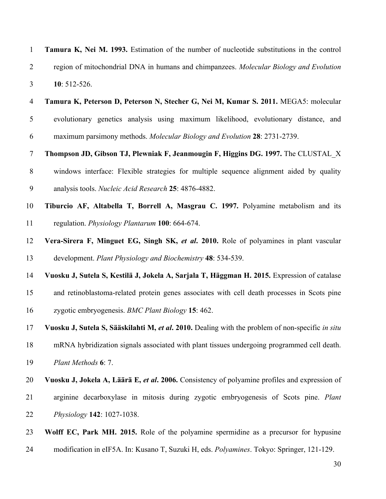| $\mathbf{1}$   | Tamura K, Nei M. 1993. Estimation of the number of nucleotide substitutions in the control       |  |  |  |  |  |  |
|----------------|--------------------------------------------------------------------------------------------------|--|--|--|--|--|--|
| $\overline{2}$ | region of mitochondrial DNA in humans and chimpanzees. Molecular Biology and Evolution           |  |  |  |  |  |  |
| 3              | 10: 512-526.                                                                                     |  |  |  |  |  |  |
| $\overline{4}$ | Tamura K, Peterson D, Peterson N, Stecher G, Nei M, Kumar S. 2011. MEGA5: molecular              |  |  |  |  |  |  |
| 5              | evolutionary genetics analysis using maximum likelihood, evolutionary distance, and              |  |  |  |  |  |  |
| 6              | maximum parsimony methods. Molecular Biology and Evolution 28: 2731-2739.                        |  |  |  |  |  |  |
| $\tau$         | Thompson JD, Gibson TJ, Plewniak F, Jeanmougin F, Higgins DG. 1997. The CLUSTAL_X                |  |  |  |  |  |  |
| $8\,$          | windows interface: Flexible strategies for multiple sequence alignment aided by quality          |  |  |  |  |  |  |
| 9              | analysis tools. Nucleic Acid Research 25: 4876-4882.                                             |  |  |  |  |  |  |
| 10             | Tiburcio AF, Altabella T, Borrell A, Masgrau C. 1997. Polyamine metabolism and its               |  |  |  |  |  |  |
| 11             | regulation. Physiology Plantarum 100: 664-674.                                                   |  |  |  |  |  |  |
| 12             | Vera-Sirera F, Minguet EG, Singh SK, et al. 2010. Role of polyamines in plant vascular           |  |  |  |  |  |  |
| 13             | development. Plant Physiology and Biochemistry 48: 534-539.                                      |  |  |  |  |  |  |
| 14             | Vuosku J, Sutela S, Kestilä J, Jokela A, Sarjala T, Häggman H. 2015. Expression of catalase      |  |  |  |  |  |  |
| 15             | and retinoblastoma-related protein genes associates with cell death processes in Scots pine      |  |  |  |  |  |  |
| 16             | zygotic embryogenesis. BMC Plant Biology 15: 462.                                                |  |  |  |  |  |  |
| 17             | Vuosku J, Sutela S, Sääskilahti M, et al. 2010. Dealing with the problem of non-specific in situ |  |  |  |  |  |  |
| 18             | mRNA hybridization signals associated with plant tissues undergoing programmed cell death.       |  |  |  |  |  |  |
| 19             | Plant Methods 6: 7.                                                                              |  |  |  |  |  |  |
| 20             | Vuosku J, Jokela A, Läärä E, et al. 2006. Consistency of polyamine profiles and expression of    |  |  |  |  |  |  |
| 21             | arginine decarboxylase in mitosis during zygotic embryogenesis of Scots pine. Plant              |  |  |  |  |  |  |
| 22             | Physiology 142: 1027-1038.                                                                       |  |  |  |  |  |  |
| 23             | Wolff EC, Park MH. 2015. Role of the polyamine spermidine as a precursor for hypusine            |  |  |  |  |  |  |
| 24             | modification in eIF5A. In: Kusano T, Suzuki H, eds. Polyamines. Tokyo: Springer, 121-129.        |  |  |  |  |  |  |
|                | 30                                                                                               |  |  |  |  |  |  |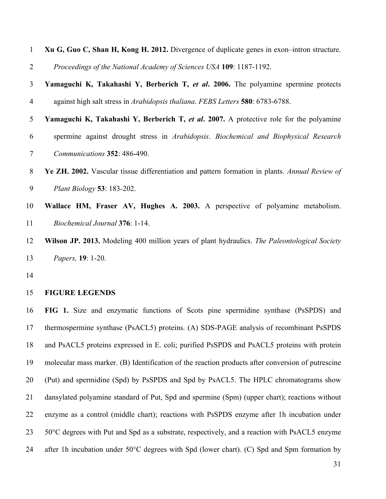| $\mathbf{1}$   | Xu G, Guo C, Shan H, Kong H. 2012. Divergence of duplicate genes in exon-intron structure.     |
|----------------|------------------------------------------------------------------------------------------------|
| $\overline{2}$ | Proceedings of the National Academy of Sciences USA 109: 1187-1192.                            |
| 3              | Yamaguchi K, Takahashi Y, Berberich T, et al. 2006. The polyamine spermine protects            |
| $\overline{4}$ | against high salt stress in Arabidopsis thaliana. FEBS Letters 580: 6783-6788.                 |
| 5              | Yamaguchi K, Takahashi Y, Berberich T, et al. 2007. A protective role for the polyamine        |
| 6              | spermine against drought stress in Arabidopsis. Biochemical and Biophysical Research           |
| 7              | Communications 352: 486-490.                                                                   |
| $8\phantom{.}$ | Ye ZH. 2002. Vascular tissue differentiation and pattern formation in plants. Annual Review of |
| 9              | Plant Biology 53: 183-202.                                                                     |
| 10             | Wallace HM, Fraser AV, Hughes A. 2003. A perspective of polyamine metabolism.                  |
| 11             | Biochemical Journal 376: 1-14.                                                                 |
| 12             | Wilson JP. 2013. Modeling 400 million years of plant hydraulics. The Paleontological Society   |
| 13             | Papers, 19: 1-20.                                                                              |
| 14             |                                                                                                |
| 15             | <b>FIGURE LEGENDS</b>                                                                          |
| 16             | FIG 1. Size and enzymatic functions of Scots pine spermidine synthase (PsSPDS) and             |
| 17             | thermospermine synthase (PsACL5) proteins. (A) SDS-PAGE analysis of recombinant PsSPDS         |
| 18             | and PsACL5 proteins expressed in E. coli; purified PsSPDS and PsACL5 proteins with protein     |

 molecular mass marker. (B) Identification of the reaction products after conversion of putrescine (Put) and spermidine (Spd) by PsSPDS and Spd by PsACL5. The HPLC chromatograms show dansylated polyamine standard of Put, Spd and spermine (Spm) (upper chart); reactions without enzyme as a control (middle chart); reactions with PsSPDS enzyme after 1h incubation under 50°C degrees with Put and Spd as a substrate, respectively, and a reaction with PsACL5 enzyme 24 after 1h incubation under 50°C degrees with Spd (lower chart). (C) Spd and Spm formation by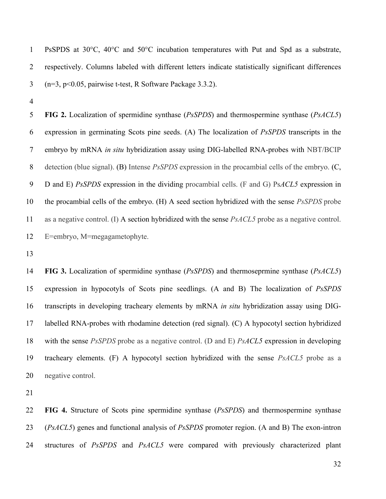PsSPDS at 30°C, 40°C and 50°C incubation temperatures with Put and Spd as a substrate, respectively. Columns labeled with different letters indicate statistically significant differences (n=3, p<0.05, pairwise t-test, R Software Package 3.3.2).

 **FIG 2.** Localization of spermidine synthase (*PsSPDS*) and thermospermine synthase (*PsACL5*) expression in germinating Scots pine seeds. (A) The localization of *PsSPDS* transcripts in the embryo by mRNA *in situ* hybridization assay using DIG-labelled RNA-probes with NBT/BCIP detection (blue signal). (B) Intense *PsSPDS* expression in the procambial cells of the embryo. (C, D and E) *PsSPDS* expression in the dividing procambial cells. (F and G) Ps*ACL5* expression in the procambial cells of the embryo. (H) A seed section hybridized with the sense *PsSPDS* probe as a negative control. (I) A section hybridized with the sense *PsACL5* probe as a negative control. E=embryo, M=megagametophyte.

 **FIG 3.** Localization of spermidine synthase (*PsSPDS*) and thermoseprmine synthase (*PsACL5*) expression in hypocotyls of Scots pine seedlings. (A and B) The localization of *PsSPDS* transcripts in developing tracheary elements by mRNA *in situ* hybridization assay using DIG- labelled RNA-probes with rhodamine detection (red signal). (C) A hypocotyl section hybridized with the sense *PsSPDS* probe as a negative control. (D and E) *PsACL5* expression in developing tracheary elements. (F) A hypocotyl section hybridized with the sense *PsACL5* probe as a negative control.

 **FIG 4.** Structure of Scots pine spermidine synthase (*PsSPDS*) and thermospermine synthase (*PsACL5*) genes and functional analysis of *PsSPDS* promoter region. (A and B) The exon-intron structures of *PsSPDS* and *PsACL5* were compared with previously characterized plant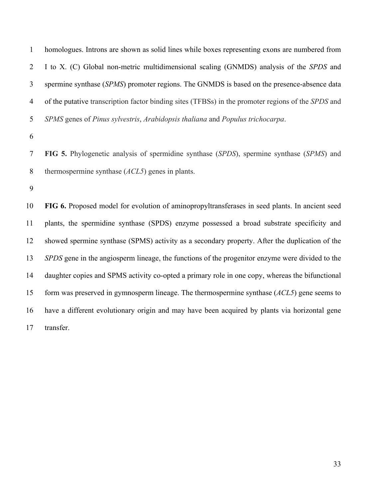homologues. Introns are shown as solid lines while boxes representing exons are numbered from I to X. (C) Global non-metric multidimensional scaling (GNMDS) analysis of the *SPDS* and spermine synthase (*SPMS*) promoter regions. The GNMDS is based on the presence-absence data of the putative transcription factor binding sites (TFBSs) in the promoter regions of the *SPDS* and *SPMS* genes of *Pinus sylvestris*, *Arabidopsis thaliana* and *Populus trichocarpa*.

 **FIG 5.** Phylogenetic analysis of spermidine synthase (*SPDS*), spermine synthase (*SPMS*) and thermospermine synthase (*ACL5*) genes in plants.

 **FIG 6.** Proposed model for evolution of aminopropyltransferases in seed plants. In ancient seed plants, the spermidine synthase (SPDS) enzyme possessed a broad substrate specificity and showed spermine synthase (SPMS) activity as a secondary property. After the duplication of the *SPDS* gene in the angiosperm lineage, the functions of the progenitor enzyme were divided to the daughter copies and SPMS activity co-opted a primary role in one copy, whereas the bifunctional form was preserved in gymnosperm lineage. The thermospermine synthase (*ACL5*) gene seems to have a different evolutionary origin and may have been acquired by plants via horizontal gene transfer.